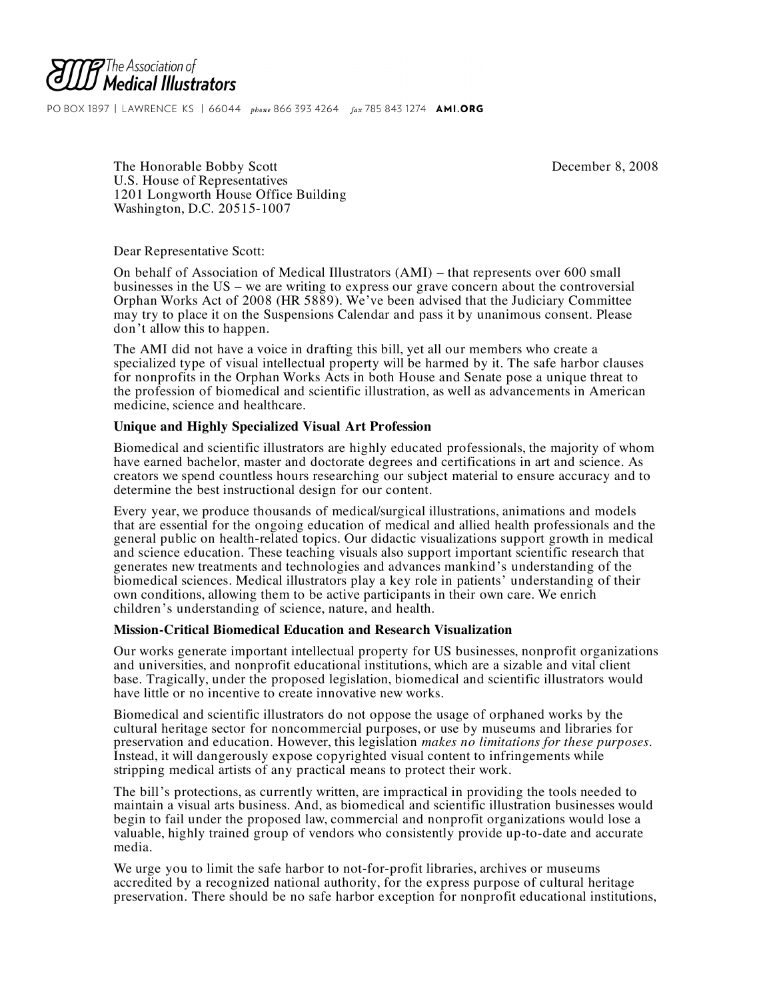

PO BOX 1897 | LAWRENCE KS | 66044 phone 866 393 4264 fax 785 843 1274 AMI.ORG

The Honorable Bobby Scott **December 8, 2008** U.S. House of Representatives 1201 Longworth House Office Building Washington, D.C. 20515-1007

Dear Representative Scott:

On behalf of Association of Medical Illustrators (AMI) – that represents over 600 small businesses in the US – we are writing to express our grave concern about the controversial Orphan Works Act of 2008 (HR 5889). We've been advised that the Judiciary Committee may try to place it on the Suspensions Calendar and pass it by unanimous consent. Please don't allow this to happen.

The AMI did not have a voice in drafting this bill, yet all our members who create a specialized type of visual intellectual property will be harmed by it. The safe harbor clauses for nonprofits in the Orphan Works Acts in both House and Senate pose a unique threat to the profession of biomedical and scientific illustration, as well as advancements in American medicine, science and healthcare.

## **Unique and Highly Specialized Visual Art Profession**

Biomedical and scientific illustrators are highly educated professionals, the majority of whom have earned bachelor, master and doctorate degrees and certifications in art and science. As creators we spend countless hours researching our subject material to ensure accuracy and to determine the best instructional design for our content.

Every year, we produce thousands of medical/surgical illustrations, animations and models that are essential for the ongoing education of medical and allied health professionals and the general public on health-related topics. Our didactic visualizations support growth in medical and science education. These teaching visuals also support important scientific research that generates new treatments and technologies and advances mankind's understanding of the biomedical sciences. Medical illustrators play a key role in patients' understanding of their own conditions, allowing them to be active participants in their own care. We enrich children's understanding of science, nature, and health.

## **Mission-Critical Biomedical Education and Research Visualization**

Our works generate important intellectual property for US businesses, nonprofit organizations and universities, and nonprofit educational institutions, which are a sizable and vital client base. Tragically, under the proposed legislation, biomedical and scientific illustrators would have little or no incentive to create innovative new works.

Biomedical and scientific illustrators do not oppose the usage of orphaned works by the cultural heritage sector for noncommercial purposes, or use by museums and libraries for preservation and education. However, this legislation *makes no limitations for these purposes*. Instead, it will dangerously expose copyrighted visual content to infringements while stripping medical artists of any practical means to protect their work.

The bill's protections, as currently written, are impractical in providing the tools needed to maintain a visual arts business. And, as biomedical and scientific illustration businesses would begin to fail under the proposed law, commercial and nonprofit organizations would lose a valuable, highly trained group of vendors who consistently provide up-to-date and accurate media.

We urge you to limit the safe harbor to not-for-profit libraries, archives or museums accredited by a recognized national authority, for the express purpose of cultural heritage preservation. There should be no safe harbor exception for nonprofit educational institutions,